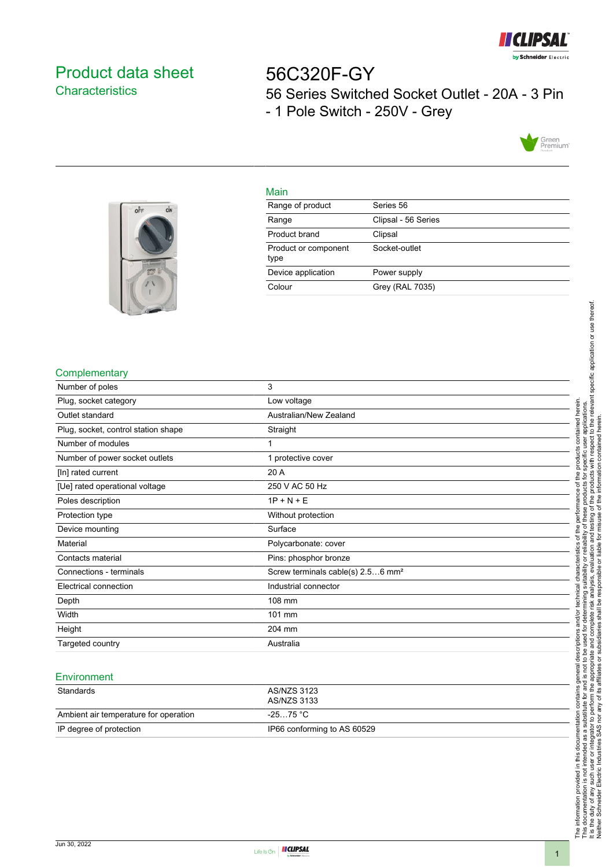

# <span id="page-0-0"></span>Product data sheet **Characteristics**

56C320F-GY 56 Series Switched Socket Outlet - 20A - 3 Pin - 1 Pole Switch - 250V - Grey





#### Main

| . <u>.</u> .                 |                     |
|------------------------------|---------------------|
| Range of product             | Series 56           |
| Range                        | Clipsal - 56 Series |
| Product brand                | Clipsal             |
| Product or component<br>type | Socket-outlet       |
| Device application           | Power supply        |
| Colour                       | Grey (RAL 7035)     |
|                              |                     |

### **Complementary**

| Number of poles                     | 3                                             |
|-------------------------------------|-----------------------------------------------|
| Plug, socket category               | Low voltage                                   |
| Outlet standard                     | Australian/New Zealand                        |
| Plug, socket, control station shape | Straight                                      |
| Number of modules                   |                                               |
| Number of power socket outlets      | 1 protective cover                            |
| [In] rated current                  | 20 A                                          |
| [Ue] rated operational voltage      | 250 V AC 50 Hz                                |
| Poles description                   | $1P + N + E$                                  |
| Protection type                     | Without protection                            |
| Device mounting                     | Surface                                       |
| Material                            | Polycarbonate: cover                          |
| Contacts material                   | Pins: phosphor bronze                         |
| Connections - terminals             | Screw terminals cable(s) 2.56 mm <sup>2</sup> |
| Electrical connection               | Industrial connector                          |
| Depth                               | 108 mm                                        |
| Width                               | 101 mm                                        |
| Height                              | 204 mm                                        |
| Targeted country                    | Australia                                     |

#### **Environment**

| Standards                             | AS/NZS 3123<br>AS/NZS 3133  |
|---------------------------------------|-----------------------------|
| Ambient air temperature for operation | -25…75 °C                   |
| IP degree of protection               | IP66 conforming to AS 60529 |